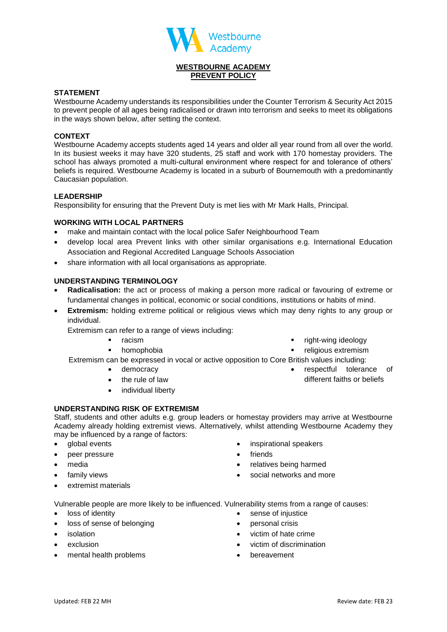

# **WESTBOURNE ACADEMY PREVENT POLICY**

## **STATEMENT**

Westbourne Academy understands its responsibilities under the Counter Terrorism & Security Act 2015 to prevent people of all ages being radicalised or drawn into terrorism and seeks to meet its obligations in the ways shown below, after setting the context.

### **CONTEXT**

Westbourne Academy accepts students aged 14 years and older all year round from all over the world. In its busiest weeks it may have 320 students, 25 staff and work with 170 homestay providers. The school has always promoted a multi-cultural environment where respect for and tolerance of others' beliefs is required. Westbourne Academy is located in a suburb of Bournemouth with a predominantly Caucasian population.

#### **LEADERSHIP**

Responsibility for ensuring that the Prevent Duty is met lies with Mr Mark Halls, Principal.

## **WORKING WITH LOCAL PARTNERS**

- make and maintain contact with the local police Safer Neighbourhood Team
- develop local area Prevent links with other similar organisations e.g. International Education Association and Regional Accredited Language Schools Association
- share information with all local organisations as appropriate.

## **UNDERSTANDING TERMINOLOGY**

- **Radicalisation:** the act or process of making a person more radical or favouring of extreme or fundamental changes in political, economic or social conditions, institutions or habits of mind.
- **Extremism:** holding extreme political or religious views which may deny rights to any group or individual.

Extremism can refer to a range of views including:

- racism
	- homophobia
- right-wing ideology
- religious extremism

Extremism can be expressed in vocal or active opposition to Core British values including:

- democracy
	- the rule of law
- individual liberty

#### **UNDERSTANDING RISK OF EXTREMISM**

Staff, students and other adults e.g. group leaders or homestay providers may arrive at Westbourne Academy already holding extremist views. Alternatively, whilst attending Westbourne Academy they may be influenced by a range of factors:

- global events
- peer pressure
- media
- family views
- extremist materials
- inspirational speakers
- friends
- relatives being harmed
- social networks and more

Vulnerable people are more likely to be influenced. Vulnerability stems from a range of causes:

- loss of identity
- loss of sense of belonging
- isolation
- exclusion
- mental health problems
- 
- sense of injustice
- personal crisis
- victim of hate crime
- victim of discrimination
- bereavement
- respectful tolerance of
- different faiths or beliefs